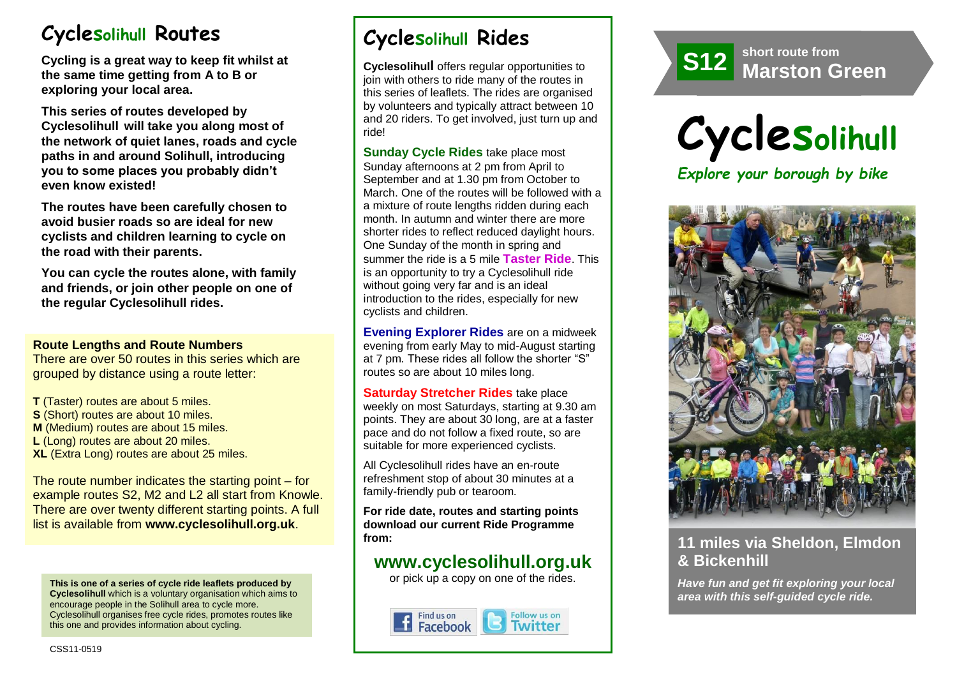# **Cyclesolihull Routes**

**Cycling is a great way to keep fit whilst at the same time getting from A to B or exploring your local area.** 

**This series of routes developed by Cyclesolihull will take you along most of the network of quiet lanes, roads and cycle paths in and around Solihull, introducing you to some places you probably didn't even know existed!**

**The routes have been carefully chosen to avoid busier roads so are ideal for new cyclists and children learning to cycle on the road with their parents.** 

**You can cycle the routes alone, with family and friends, or join other people on one of the regular Cyclesolihull rides.**

#### **Route Lengths and Route Numbers**

There are over 50 routes in this series which are grouped by distance using a route letter:

**T** (Taster) routes are about 5 miles. **S** (Short) routes are about 10 miles. **M** (Medium) routes are about 15 miles. **L** (Long) routes are about 20 miles. **XL** (Extra Long) routes are about 25 miles.

The route number indicates the starting point – for example routes S2, M2 and L2 all start from Knowle. There are over twenty different starting points. A full list is available from **www.cyclesolihull.org.uk**.

**This is one of a series of cycle ride leaflets produced by Cyclesolihull** which is a voluntary organisation which aims to encourage people in the Solihull area to cycle more. Cyclesolihull organises free cycle rides, promotes routes like this one and provides information about cycling.

# **Cyclesolihull Rides**

**Cyclesolihull** offers regular opportunities to join with others to ride many of the routes in this series of leaflets. The rides are organised by volunteers and typically attract between 10 and 20 riders. To get involved, just turn up and ride!

**Sunday Cycle Rides** take place most Sunday afternoons at 2 pm from April to September and at 1.30 pm from October to March. One of the routes will be followed with a a mixture of route lengths ridden during each month. In autumn and winter there are more shorter rides to reflect reduced daylight hours. One Sunday of the month in spring and summer the ride is a 5 mile **Taster Ride**. This is an opportunity to try a Cyclesolihull ride without going very far and is an ideal introduction to the rides, especially for new cyclists and children.

**Evening Explorer Rides** are on a midweek evening from early May to mid-August starting at 7 pm. These rides all follow the shorter "S" routes so are about 10 miles long.

**Saturday Stretcher Rides** take place weekly on most Saturdays, starting at 9.30 am points. They are about 30 long, are at a faster pace and do not follow a fixed route, so are suitable for more experienced cyclists.

All Cyclesolihull rides have an en-route refreshment stop of about 30 minutes at a family-friendly pub or tearoom.

**For ride date, routes and starting points download our current Ride Programme from:** 

## **www.cyclesolihull.org.uk**

or pick up a copy on one of the rides.









## **11 miles via Sheldon, Elmdon & Bickenhill**

*Have fun and get fit exploring your local area with this self-guided cycle ride.*